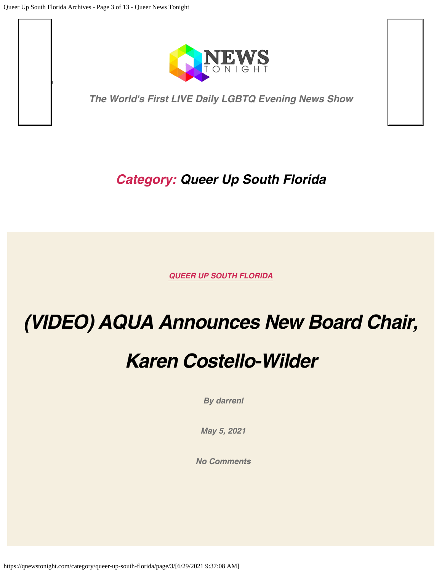<span id="page-0-0"></span>*Search*



*The World's First LIVE Daily LGBTQ Evening News Show*

#### *Category: Queer Up South Florida*

*[QUEER UP SOUTH FLORIDA](https://qnewstonight.com/category/queer-up-south-florida/)*

## *[\(VIDEO\) AQUA Announces New Board Chair,](https://qnewstonight.com/queer-up-south-florida/aqua-announces-new-board-chair-karen-costello-wilder/1238273/)*

## *[Karen Costello-Wilder](https://qnewstonight.com/queer-up-south-florida/aqua-announces-new-board-chair-karen-costello-wilder/1238273/)*

*By [darrenl](https://qnewstonight.com/author/darrenl/)*

*[May 5, 2021](https://qnewstonight.com/queer-up-south-florida/aqua-announces-new-board-chair-karen-costello-wilder/1238273/)*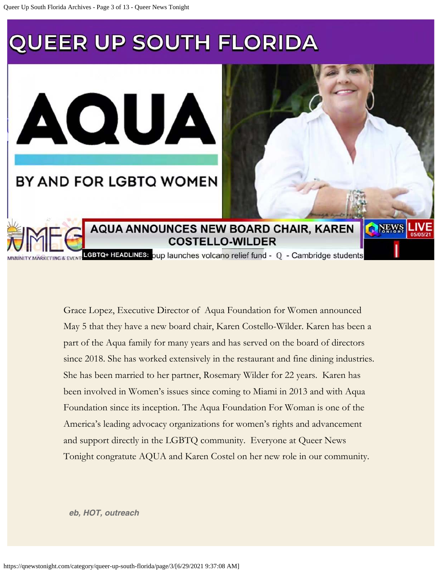BY AND FOR LGBTQ WOMEN

AQUA

**AQUA ANNOUNCES NEW BOARD CHAIR, KAREN COSTELLO-WILDER** 

**DARW** 

LGBTQ+ HEADLINES: oup launches volcano relief fund - Q - Cambridge students

Grace Lopez, Executive Director of Aqua Foundation for Women announced May 5 that they have a new board chair, Karen Costello-Wilder. Karen has been a part of the Aqua family for many years and has served on the board of directors since 2018. She has worked extensively in the restaurant and fine dining industries. She has been married to her partner, Rosemary Wilder for 22 years. Karen has been involved in Women's issues since coming to Miami in 2013 and with Aqua Foundation since its inception. The Aqua Foundation For Woman is one of the America's leading advocacy organizations for women's rights and advancement and support directly in the LGBTQ community. Everyone at Queer News Tonight congratute AQUA and Karen Costel on her new role in our community.

*[eb,](https://qnewstonight.com/tag/eb/) [HOT](https://qnewstonight.com/tag/hot/), [outreach](https://qnewstonight.com/tag/outreach/)*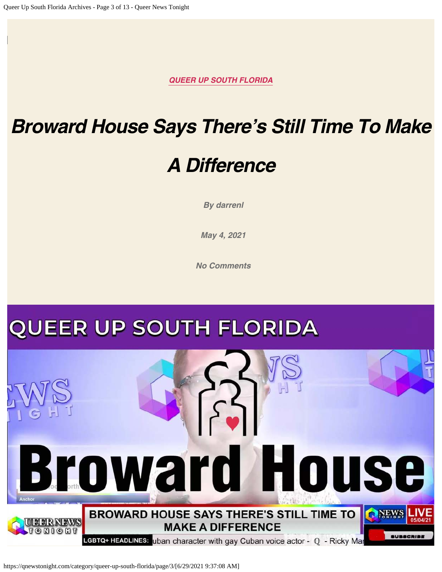## *[Broward House Says There's Still Time To Make](https://qnewstonight.com/queer-up-south-florida/broward-house-says-theres-still-time-to-make-a-difference/1208933/)*

### *[A Difference](https://qnewstonight.com/queer-up-south-florida/broward-house-says-theres-still-time-to-make-a-difference/1208933/)*

*By [darrenl](https://qnewstonight.com/author/darrenl/)*

*[May 4, 2021](https://qnewstonight.com/queer-up-south-florida/broward-house-says-theres-still-time-to-make-a-difference/1208933/)*

*[No Comments](https://qnewstonight.com/queer-up-south-florida/broward-house-says-theres-still-time-to-make-a-difference/1208933/#respond)*

## **QUEER UP SOUTH FLORIDA**



https://qnewstonight.com/category/queer-up-south-florida/page/3/[6/29/2021 9:37:08 AM]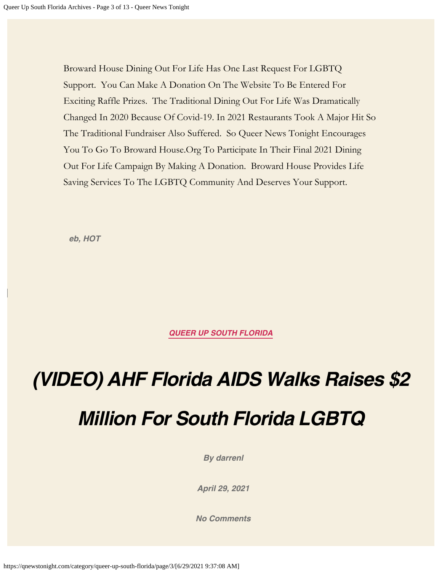Broward House Dining Out For Life Has One Last Request For LGBTQ Support. You Can Make A Donation On The Website To Be Entered For Exciting Raffle Prizes. The Traditional Dining Out For Life Was Dramatically Changed In 2020 Because Of Covid-19. In 2021 Restaurants Took A Major Hit So The Traditional Fundraiser Also Suffered. So Queer News Tonight Encourages You To Go To Broward House.Org To Participate In Their Final 2021 Dining Out For Life Campaign By Making A Donation. Broward House Provides Life Saving Services To The LGBTQ Community And Deserves Your Support.

*[eb,](https://qnewstonight.com/tag/eb/) [HOT](https://qnewstonight.com/tag/hot/)*

*[QUEER UP SOUTH FLORIDA](https://qnewstonight.com/category/queer-up-south-florida/)*

*[\(VIDEO\) AHF Florida AIDS Walks Raises \\$2](https://qnewstonight.com/queer-up-south-florida/video-ahf-florida-aids-walks-raises-2-million-for-south-florida-lgbtq/1072259/) [Million For South Florida LGBTQ](https://qnewstonight.com/queer-up-south-florida/video-ahf-florida-aids-walks-raises-2-million-for-south-florida-lgbtq/1072259/)*

*By [darrenl](https://qnewstonight.com/author/darrenl/)*

*[April 29, 2021](https://qnewstonight.com/queer-up-south-florida/video-ahf-florida-aids-walks-raises-2-million-for-south-florida-lgbtq/1072259/)*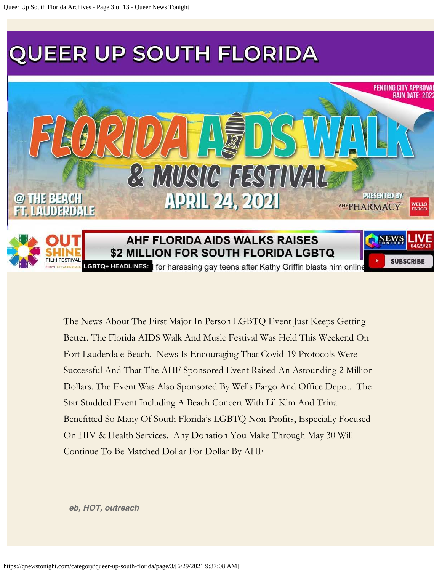

The News About The First Major In Person LGBTQ Event Just Keeps Getting Better. The Florida AIDS Walk And Music Festival Was Held This Weekend On Fort Lauderdale Beach. News Is Encouraging That Covid-19 Protocols Were Successful And That The AHF Sponsored Event Raised An Astounding 2 Million Dollars. The Event Was Also Sponsored By Wells Fargo And Office Depot. The Star Studded Event Including A Beach Concert With Lil Kim And Trina Benefitted So Many Of South Florida's LGBTQ Non Profits, Especially Focused On HIV & Health Services. Any Donation You Make Through May 30 Will Continue To Be Matched Dollar For Dollar By AHF

*[eb,](https://qnewstonight.com/tag/eb/) [HOT](https://qnewstonight.com/tag/hot/), [outreach](https://qnewstonight.com/tag/outreach/)*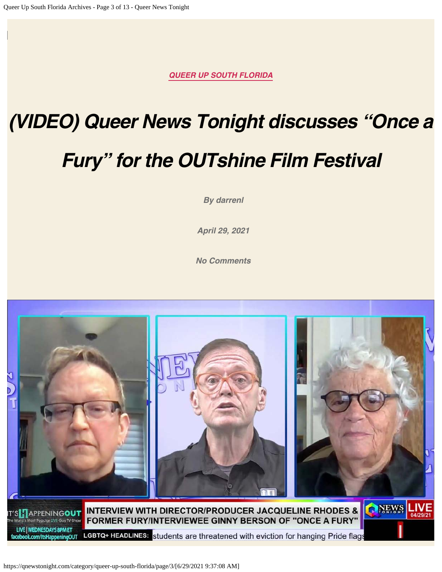# *[\(VIDEO\) Queer News Tonight discusses "Once a](https://qnewstonight.com/queer-up-south-florida/video-queer-news-tonight-discusses-once-a-fury-for-the-outshine-film-festival/1072613/) [Fury" for the OUTshine Film Festival](https://qnewstonight.com/queer-up-south-florida/video-queer-news-tonight-discusses-once-a-fury-for-the-outshine-film-festival/1072613/)*

*By [darrenl](https://qnewstonight.com/author/darrenl/)*

*[April 29, 2021](https://qnewstonight.com/queer-up-south-florida/video-queer-news-tonight-discusses-once-a-fury-for-the-outshine-film-festival/1072613/)*

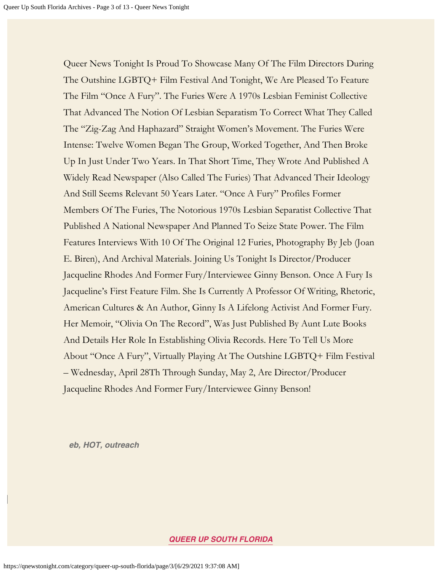Queer News Tonight Is Proud To Showcase Many Of The Film Directors During The Outshine LGBTQ+ Film Festival And Tonight, We Are Pleased To Feature The Film "Once A Fury". The Furies Were A 1970s Lesbian Feminist Collective That Advanced The Notion Of Lesbian Separatism To Correct What They Called The "Zig-Zag And Haphazard" Straight Women's Movement. The Furies Were Intense: Twelve Women Began The Group, Worked Together, And Then Broke Up In Just Under Two Years. In That Short Time, They Wrote And Published A Widely Read Newspaper (Also Called The Furies) That Advanced Their Ideology And Still Seems Relevant 50 Years Later. "Once A Fury" Profiles Former Members Of The Furies, The Notorious 1970s Lesbian Separatist Collective That Published A National Newspaper And Planned To Seize State Power. The Film Features Interviews With 10 Of The Original 12 Furies, Photography By Jeb (Joan E. Biren), And Archival Materials. Joining Us Tonight Is Director/Producer Jacqueline Rhodes And Former Fury/Interviewee Ginny Benson. Once A Fury Is Jacqueline's First Feature Film. She Is Currently A Professor Of Writing, Rhetoric, American Cultures & An Author, Ginny Is A Lifelong Activist And Former Fury. Her Memoir, "Olivia On The Record", Was Just Published By Aunt Lute Books And Details Her Role In Establishing Olivia Records. Here To Tell Us More About "Once A Fury", Virtually Playing At The Outshine LGBTQ+ Film Festival – Wednesday, April 28Th Through Sunday, May 2, Are Director/Producer Jacqueline Rhodes And Former Fury/Interviewee Ginny Benson!

*[eb,](https://qnewstonight.com/tag/eb/) [HOT](https://qnewstonight.com/tag/hot/), [outreach](https://qnewstonight.com/tag/outreach/)*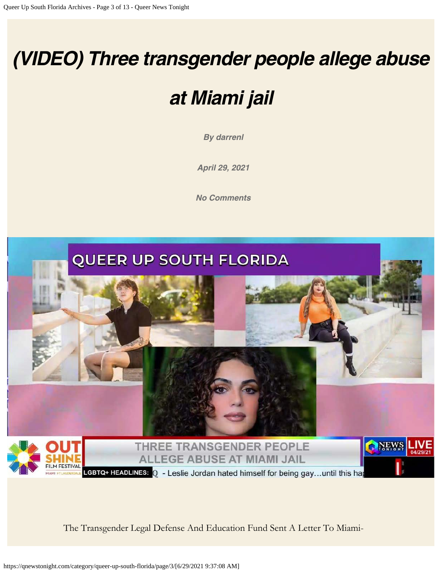## *[\(VIDEO\) Three transgender people allege abuse](https://qnewstonight.com/queer-up-south-florida/video-three-transgender-people-allege-abuse-at-miami-jail/1073434/)*

## *[at Miami jail](https://qnewstonight.com/queer-up-south-florida/video-three-transgender-people-allege-abuse-at-miami-jail/1073434/)*

*By [darrenl](https://qnewstonight.com/author/darrenl/)*

*[April 29, 2021](https://qnewstonight.com/queer-up-south-florida/video-three-transgender-people-allege-abuse-at-miami-jail/1073434/)*

*[No Comments](https://qnewstonight.com/queer-up-south-florida/video-three-transgender-people-allege-abuse-at-miami-jail/1073434/#respond)*



The Transgender Legal Defense And Education Fund Sent A Letter To Miami-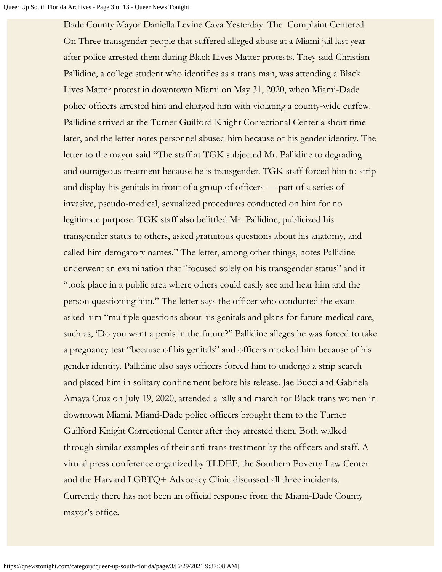Dade County Mayor Daniella Levine Cava Yesterday. The Complaint Centered On Three transgender people that suffered alleged abuse at a Miami jail last year after police arrested them during Black Lives Matter protests. They said Christian Pallidine, a college student who identifies as a trans man, was attending a Black Lives Matter protest in downtown Miami on May 31, 2020, when Miami-Dade police officers arrested him and charged him with violating a county-wide curfew. Pallidine arrived at the Turner Guilford Knight Correctional Center a short time later, and the letter notes personnel abused him because of his gender identity. The letter to the mayor said "The staff at TGK subjected Mr. Pallidine to degrading and outrageous treatment because he is transgender. TGK staff forced him to strip and display his genitals in front of a group of officers — part of a series of invasive, pseudo-medical, sexualized procedures conducted on him for no legitimate purpose. TGK staff also belittled Mr. Pallidine, publicized his transgender status to others, asked gratuitous questions about his anatomy, and called him derogatory names." The letter, among other things, notes Pallidine underwent an examination that "focused solely on his transgender status" and it "took place in a public area where others could easily see and hear him and the person questioning him." The letter says the officer who conducted the exam asked him "multiple questions about his genitals and plans for future medical care, such as, 'Do you want a penis in the future?" Pallidine alleges he was forced to take a pregnancy test "because of his genitals" and officers mocked him because of his gender identity. Pallidine also says officers forced him to undergo a strip search and placed him in solitary confinement before his release. Jae Bucci and Gabriela Amaya Cruz on July 19, 2020, attended a rally and march for Black trans women in downtown Miami. Miami-Dade police officers brought them to the Turner Guilford Knight Correctional Center after they arrested them. Both walked through similar examples of their anti-trans treatment by the officers and staff. A virtual press conference organized by TLDEF, the Southern Poverty Law Center and the Harvard LGBTQ+ Advocacy Clinic discussed all three incidents. Currently there has not been an official response from the Miami-Dade County mayor's office.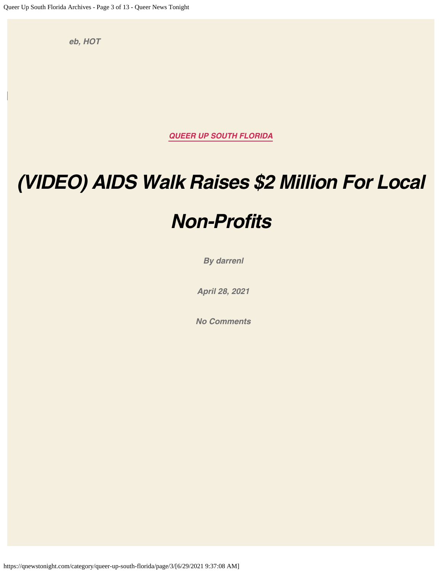*[eb,](https://qnewstonight.com/tag/eb/) [HOT](https://qnewstonight.com/tag/hot/)*

*[QUEER UP SOUTH FLORIDA](https://qnewstonight.com/category/queer-up-south-florida/)*

## *[\(VIDEO\) AIDS Walk Raises \\$2 Million For Local](https://qnewstonight.com/queer-up-south-florida/video-aids-walk-raises-2-million-for-local-non-profits/1030666/)*

### *[Non-Profits](https://qnewstonight.com/queer-up-south-florida/video-aids-walk-raises-2-million-for-local-non-profits/1030666/)*

*By [darrenl](https://qnewstonight.com/author/darrenl/)*

*[April 28, 2021](https://qnewstonight.com/queer-up-south-florida/video-aids-walk-raises-2-million-for-local-non-profits/1030666/)*

*[No Comments](https://qnewstonight.com/queer-up-south-florida/video-aids-walk-raises-2-million-for-local-non-profits/1030666/#respond)*

https://qnewstonight.com/category/queer-up-south-florida/page/3/[6/29/2021 9:37:08 AM]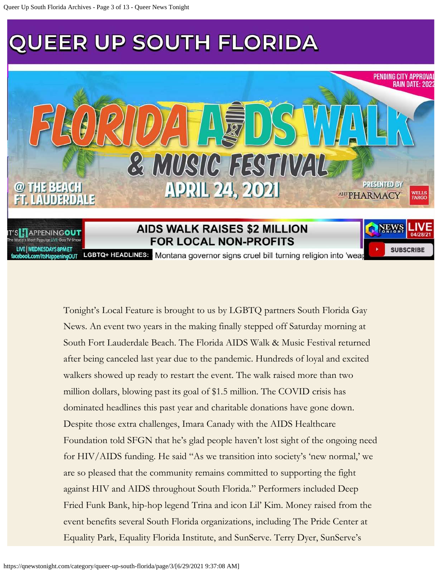

FOR LOCAL NON-PROFITS

**LIVE | WEDNESDAYS 8PM ET** com/ItsHappeningOUT

LGBTQ+ HEADLINES: Montana governor signs cruel bill turning religion into 'wea

**SUBSCRIBE** 

Tonight's Local Feature is brought to us by LGBTQ partners South Florida Gay News. An event two years in the making finally stepped off Saturday morning at South Fort Lauderdale Beach. The Florida AIDS Walk & Music Festival returned after being canceled last year due to the pandemic. Hundreds of loyal and excited walkers showed up ready to restart the event. The walk raised more than two million dollars, blowing past its goal of \$1.5 million. The COVID crisis has dominated headlines this past year and charitable donations have gone down. Despite those extra challenges, Imara Canady with the AIDS Healthcare Foundation told SFGN that he's glad people haven't lost sight of the ongoing need for HIV/AIDS funding. He said "As we transition into society's 'new normal,' we are so pleased that the community remains committed to supporting the fight against HIV and AIDS throughout South Florida." Performers included Deep Fried Funk Bank, hip-hop legend Trina and icon Lil' Kim. Money raised from the event benefits several South Florida organizations, including The Pride Center at Equality Park, Equality Florida Institute, and SunServe. Terry Dyer, SunServe's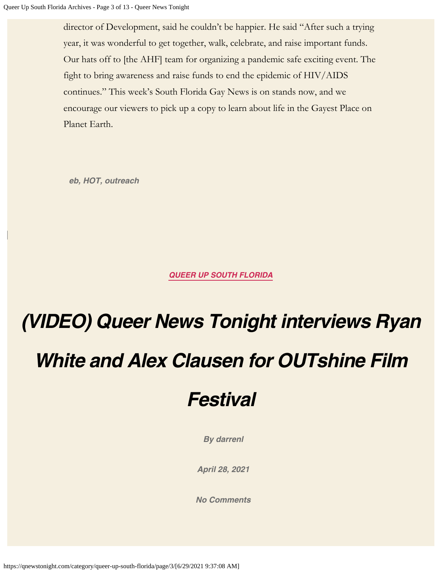director of Development, said he couldn't be happier. He said "After such a trying year, it was wonderful to get together, walk, celebrate, and raise important funds. Our hats off to [the AHF] team for organizing a pandemic safe exciting event. The fight to bring awareness and raise funds to end the epidemic of HIV/AIDS continues." This week's South Florida Gay News is on stands now, and we encourage our viewers to pick up a copy to learn about life in the Gayest Place on Planet Earth.

*[eb,](https://qnewstonight.com/tag/eb/) [HOT](https://qnewstonight.com/tag/hot/), [outreach](https://qnewstonight.com/tag/outreach/)*

*[QUEER UP SOUTH FLORIDA](https://qnewstonight.com/category/queer-up-south-florida/)*

# *[\(VIDEO\) Queer News Tonight interviews Ryan](https://qnewstonight.com/queer-up-south-florida/video-queer-news-tonight-interviews-ryan-white-and-alex-clausen-for-outshine-film-festival/1030692/) [White and Alex Clausen for OUTshine Film](https://qnewstonight.com/queer-up-south-florida/video-queer-news-tonight-interviews-ryan-white-and-alex-clausen-for-outshine-film-festival/1030692/)*

### *[Festival](https://qnewstonight.com/queer-up-south-florida/video-queer-news-tonight-interviews-ryan-white-and-alex-clausen-for-outshine-film-festival/1030692/)*

*By [darrenl](https://qnewstonight.com/author/darrenl/)*

*[April 28, 2021](https://qnewstonight.com/queer-up-south-florida/video-queer-news-tonight-interviews-ryan-white-and-alex-clausen-for-outshine-film-festival/1030692/)*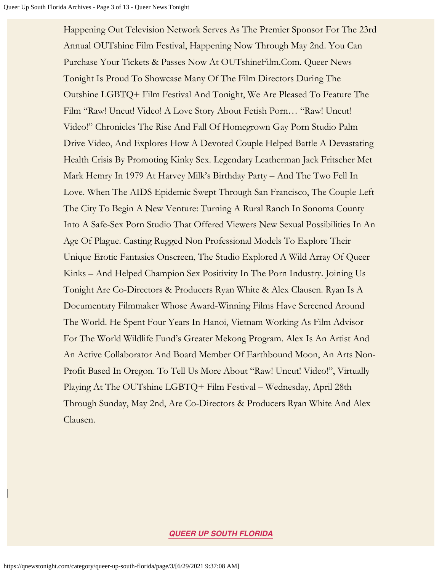Happening Out Television Network Serves As The Premier Sponsor For The 23rd Annual OUTshine Film Festival, Happening Now Through May 2nd. You Can Purchase Your Tickets & Passes Now At OUTshineFilm.Com. Queer News Tonight Is Proud To Showcase Many Of The Film Directors During The Outshine LGBTQ+ Film Festival And Tonight, We Are Pleased To Feature The Film "Raw! Uncut! Video! A Love Story About Fetish Porn… "Raw! Uncut! Video!" Chronicles The Rise And Fall Of Homegrown Gay Porn Studio Palm Drive Video, And Explores How A Devoted Couple Helped Battle A Devastating Health Crisis By Promoting Kinky Sex. Legendary Leatherman Jack Fritscher Met Mark Hemry In 1979 At Harvey Milk's Birthday Party – And The Two Fell In Love. When The AIDS Epidemic Swept Through San Francisco, The Couple Left The City To Begin A New Venture: Turning A Rural Ranch In Sonoma County Into A Safe-Sex Porn Studio That Offered Viewers New Sexual Possibilities In An Age Of Plague. Casting Rugged Non Professional Models To Explore Their Unique Erotic Fantasies Onscreen, The Studio Explored A Wild Array Of Queer Kinks – And Helped Champion Sex Positivity In The Porn Industry. Joining Us Tonight Are Co-Directors & Producers Ryan White & Alex Clausen. Ryan Is A Documentary Filmmaker Whose Award-Winning Films Have Screened Around The World. He Spent Four Years In Hanoi, Vietnam Working As Film Advisor For The World Wildlife Fund's Greater Mekong Program. Alex Is An Artist And An Active Collaborator And Board Member Of Earthbound Moon, An Arts Non-Profit Based In Oregon. To Tell Us More About "Raw! Uncut! Video!", Virtually Playing At The OUTshine LGBTQ+ Film Festival – Wednesday, April 28th Through Sunday, May 2nd, Are Co-Directors & Producers Ryan White And Alex Clausen.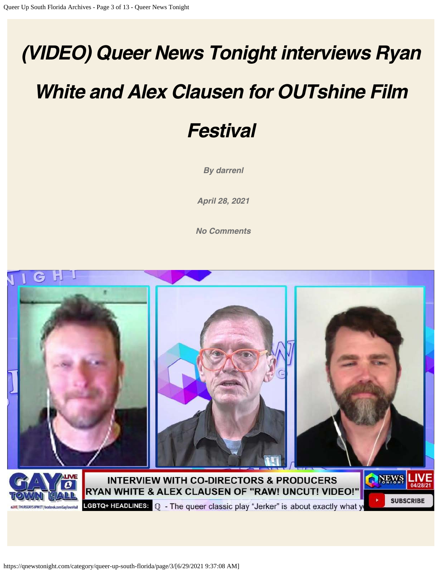# *[\(VIDEO\) Queer News Tonight interviews Ryan](https://qnewstonight.com/queer-up-south-florida/video-queer-news-tonight-interviews-ryan-white-and-alex-clausen-for-outshine-film-festival-2/1031435/)*

## *[White and Alex Clausen for OUTshine Film](https://qnewstonight.com/queer-up-south-florida/video-queer-news-tonight-interviews-ryan-white-and-alex-clausen-for-outshine-film-festival-2/1031435/)*

### *[Festival](https://qnewstonight.com/queer-up-south-florida/video-queer-news-tonight-interviews-ryan-white-and-alex-clausen-for-outshine-film-festival-2/1031435/)*

*By [darrenl](https://qnewstonight.com/author/darrenl/)*

*[April 28, 2021](https://qnewstonight.com/queer-up-south-florida/video-queer-news-tonight-interviews-ryan-white-and-alex-clausen-for-outshine-film-festival-2/1031435/)*

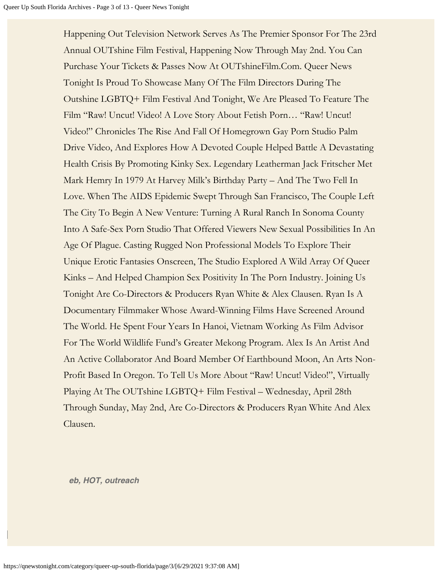Happening Out Television Network Serves As The Premier Sponsor For The 23rd Annual OUTshine Film Festival, Happening Now Through May 2nd. You Can Purchase Your Tickets & Passes Now At OUTshineFilm.Com. Queer News Tonight Is Proud To Showcase Many Of The Film Directors During The Outshine LGBTQ+ Film Festival And Tonight, We Are Pleased To Feature The Film "Raw! Uncut! Video! A Love Story About Fetish Porn… "Raw! Uncut! Video!" Chronicles The Rise And Fall Of Homegrown Gay Porn Studio Palm Drive Video, And Explores How A Devoted Couple Helped Battle A Devastating Health Crisis By Promoting Kinky Sex. Legendary Leatherman Jack Fritscher Met Mark Hemry In 1979 At Harvey Milk's Birthday Party – And The Two Fell In Love. When The AIDS Epidemic Swept Through San Francisco, The Couple Left The City To Begin A New Venture: Turning A Rural Ranch In Sonoma County Into A Safe-Sex Porn Studio That Offered Viewers New Sexual Possibilities In An Age Of Plague. Casting Rugged Non Professional Models To Explore Their Unique Erotic Fantasies Onscreen, The Studio Explored A Wild Array Of Queer Kinks – And Helped Champion Sex Positivity In The Porn Industry. Joining Us Tonight Are Co-Directors & Producers Ryan White & Alex Clausen. Ryan Is A Documentary Filmmaker Whose Award-Winning Films Have Screened Around The World. He Spent Four Years In Hanoi, Vietnam Working As Film Advisor For The World Wildlife Fund's Greater Mekong Program. Alex Is An Artist And An Active Collaborator And Board Member Of Earthbound Moon, An Arts Non-Profit Based In Oregon. To Tell Us More About "Raw! Uncut! Video!", Virtually Playing At The OUTshine LGBTQ+ Film Festival – Wednesday, April 28th Through Sunday, May 2nd, Are Co-Directors & Producers Ryan White And Alex Clausen.

*[eb,](https://qnewstonight.com/tag/eb/) [HOT](https://qnewstonight.com/tag/hot/), [outreach](https://qnewstonight.com/tag/outreach/)*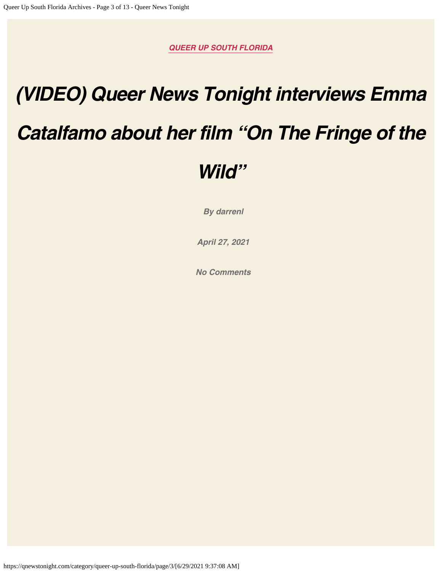# *[\(VIDEO\) Queer News Tonight interviews Emma](https://qnewstonight.com/queer-up-south-florida/video-queer-news-tonight-interviews-emma-catalfamo-about-her-film-on-the-fringe-of-the-wild/998793/)*

### *[Catalfamo about her film "On The Fringe of the](https://qnewstonight.com/queer-up-south-florida/video-queer-news-tonight-interviews-emma-catalfamo-about-her-film-on-the-fringe-of-the-wild/998793/)*

### *[Wild"](https://qnewstonight.com/queer-up-south-florida/video-queer-news-tonight-interviews-emma-catalfamo-about-her-film-on-the-fringe-of-the-wild/998793/)*

*By [darrenl](https://qnewstonight.com/author/darrenl/)*

*[April 27, 2021](https://qnewstonight.com/queer-up-south-florida/video-queer-news-tonight-interviews-emma-catalfamo-about-her-film-on-the-fringe-of-the-wild/998793/)*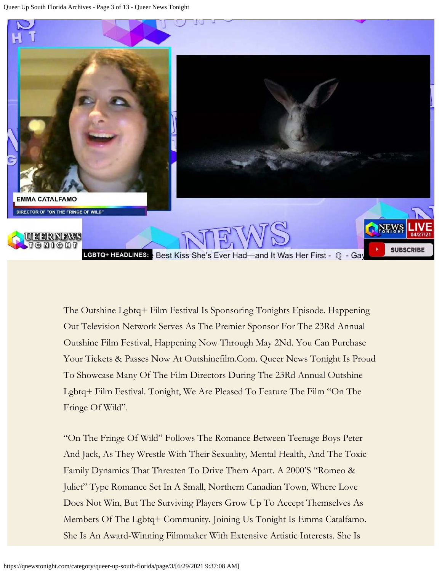

The Outshine Lgbtq+ Film Festival Is Sponsoring Tonights Episode. Happening Out Television Network Serves As The Premier Sponsor For The 23Rd Annual Outshine Film Festival, Happening Now Through May 2Nd. You Can Purchase Your Tickets & Passes Now At Outshinefilm.Com. Queer News Tonight Is Proud To Showcase Many Of The Film Directors During The 23Rd Annual Outshine Lgbtq+ Film Festival. Tonight, We Are Pleased To Feature The Film "On The Fringe Of Wild".

"On The Fringe Of Wild" Follows The Romance Between Teenage Boys Peter And Jack, As They Wrestle With Their Sexuality, Mental Health, And The Toxic Family Dynamics That Threaten To Drive Them Apart. A 2000'S "Romeo & Juliet" Type Romance Set In A Small, Northern Canadian Town, Where Love Does Not Win, But The Surviving Players Grow Up To Accept Themselves As Members Of The Lgbtq+ Community. Joining Us Tonight Is Emma Catalfamo. She Is An Award-Winning Filmmaker With Extensive Artistic Interests. She Is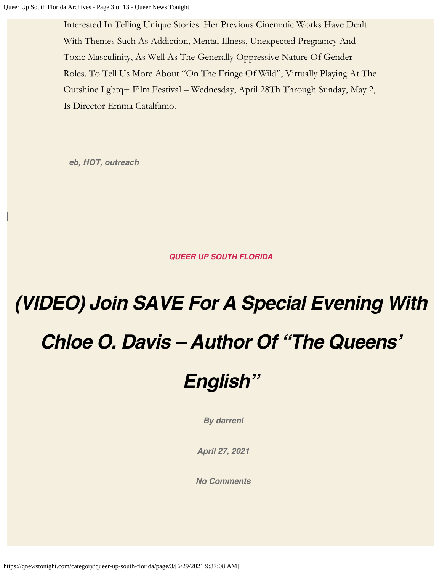Interested In Telling Unique Stories. Her Previous Cinematic Works Have Dealt With Themes Such As Addiction, Mental Illness, Unexpected Pregnancy And Toxic Masculinity, As Well As The Generally Oppressive Nature Of Gender Roles. To Tell Us More About "On The Fringe Of Wild", Virtually Playing At The Outshine Lgbtq+ Film Festival – Wednesday, April 28Th Through Sunday, May 2, Is Director Emma Catalfamo.

*[eb,](https://qnewstonight.com/tag/eb/) [HOT](https://qnewstonight.com/tag/hot/), [outreach](https://qnewstonight.com/tag/outreach/)*

*[QUEER UP SOUTH FLORIDA](https://qnewstonight.com/category/queer-up-south-florida/)*

# *[\(VIDEO\) Join SAVE For A Special Evening With](https://qnewstonight.com/queer-up-south-florida/video-join-save-for-a-special-evening-with-chloe-o-davis-author-of-the-queens-english/998872/) [Chloe O. Davis – Author Of "The Queens'](https://qnewstonight.com/queer-up-south-florida/video-join-save-for-a-special-evening-with-chloe-o-davis-author-of-the-queens-english/998872/)*

### *[English"](https://qnewstonight.com/queer-up-south-florida/video-join-save-for-a-special-evening-with-chloe-o-davis-author-of-the-queens-english/998872/)*

*By [darrenl](https://qnewstonight.com/author/darrenl/)*

*[April 27, 2021](https://qnewstonight.com/queer-up-south-florida/video-join-save-for-a-special-evening-with-chloe-o-davis-author-of-the-queens-english/998872/)*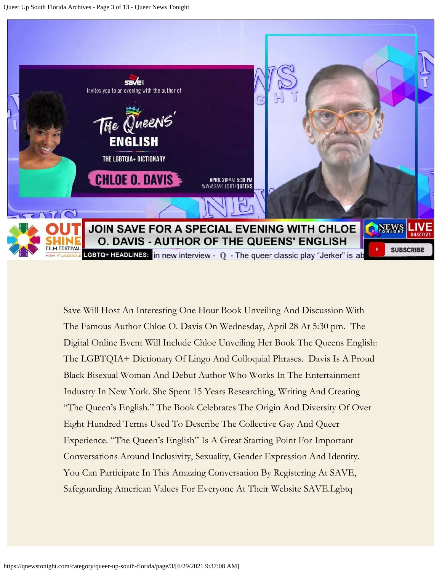

Save Will Host An Interesting One Hour Book Unveiling And Discussion With The Famous Author Chloe O. Davis On Wednesday, April 28 At 5:30 pm. The Digital Online Event Will Include Chloe Unveiling Her Book The Queens English: The LGBTQIA+ Dictionary Of Lingo And Colloquial Phrases. Davis Is A Proud Black Bisexual Woman And Debut Author Who Works In The Entertainment Industry In New York. She Spent 15 Years Researching, Writing And Creating "The Queen's English." The Book Celebrates The Origin And Diversity Of Over Eight Hundred Terms Used To Describe The Collective Gay And Queer Experience. "The Queen's English" Is A Great Starting Point For Important Conversations Around Inclusivity, Sexuality, Gender Expression And Identity. You Can Participate In This Amazing Conversation By Registering At SAVE, Safeguarding American Values For Everyone At Their Website SAVE.Lgbtq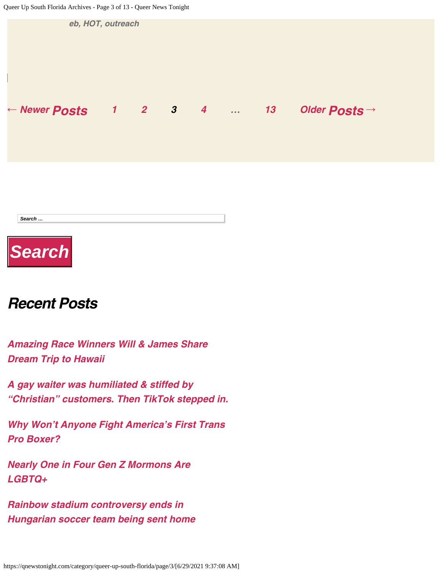

#### *Recent Posts*

*[Amazing Race Winners Will & James Share](https://qnewstonight.com/queer-up-gay-culture/amazing-race-winners-will-james-share-dream-trip-to-hawaii/1855149/) [Dream Trip to Hawaii](https://qnewstonight.com/queer-up-gay-culture/amazing-race-winners-will-james-share-dream-trip-to-hawaii/1855149/)*

*[A gay waiter was humiliated & stiffed by](https://qnewstonight.com/queer-up-gay-culture/a-gay-waiter-was-humiliated-stiffed-by-christian-customers-then-tiktok-stepped-in/1855132/) ["Christian" customers. Then TikTok stepped in.](https://qnewstonight.com/queer-up-gay-culture/a-gay-waiter-was-humiliated-stiffed-by-christian-customers-then-tiktok-stepped-in/1855132/)*

*[Why Won't Anyone Fight America's First Trans](https://qnewstonight.com/queer-up-sports/why-wont-anyone-fight-americas-first-trans-pro-boxer/1855117/) [Pro Boxer?](https://qnewstonight.com/queer-up-sports/why-wont-anyone-fight-americas-first-trans-pro-boxer/1855117/)*

*[Nearly One in Four Gen Z Mormons Are](https://qnewstonight.com/uncategorized/nearly-one-in-four-gen-z-mormons-are-lgbtq/1855102/) [LGBTQ+](https://qnewstonight.com/uncategorized/nearly-one-in-four-gen-z-mormons-are-lgbtq/1855102/)*

*[Rainbow stadium controversy ends in](https://qnewstonight.com/queer-up-the-world/rainbow-stadium-controversy-ends-in-hungarian-soccer-team-being-sent-home/1855079/) [Hungarian soccer team being sent home](https://qnewstonight.com/queer-up-the-world/rainbow-stadium-controversy-ends-in-hungarian-soccer-team-being-sent-home/1855079/)*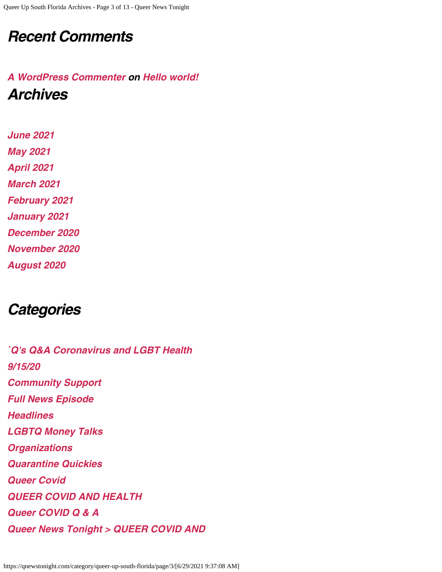#### *Recent Comments*

#### *[A WordPress Commenter](http://loligroup.net/) on [Hello world!](https://qnewstonight.com/uncategorized/hello-world/1/#comment-1) Archives*

*[June 2021](https://qnewstonight.com/date/2021/06/) [May 2021](https://qnewstonight.com/date/2021/05/) [April 2021](https://qnewstonight.com/date/2021/04/) [March 2021](https://qnewstonight.com/date/2021/03/) [February 2021](https://qnewstonight.com/date/2021/02/) [January 2021](https://qnewstonight.com/date/2021/01/) [December 2020](https://qnewstonight.com/date/2020/12/) [November 2020](https://qnewstonight.com/date/2020/11/) [August 2020](https://qnewstonight.com/date/2020/08/)*

*Categories*

*[`Q's Q&A Coronavirus and LGBT Health](https://qnewstonight.com/category/qs-qa-coronavirus-and-lgbt-health/) [9/15/20](https://qnewstonight.com/category/9-15-20/) [Community Support](https://qnewstonight.com/category/community/) [Full News Episode](https://qnewstonight.com/category/full-news-episode/) [Headlines](https://qnewstonight.com/category/headlines/) [LGBTQ Money Talks](https://qnewstonight.com/category/lgbtq-money-talks/) [Organizations](https://qnewstonight.com/category/organizations/) [Quarantine Quickies](https://qnewstonight.com/category/quarantine-quickies/) [Queer Covid](https://qnewstonight.com/category/queer-covid/) [QUEER COVID AND HEALTH](https://qnewstonight.com/category/queer-covid-and-health/) [Queer COVID Q & A](https://qnewstonight.com/category/queer-covid-q-a/) [Queer News Tonight > QUEER COVID AND](https://qnewstonight.com/category/queer-news-tonight-queer-covid-and-health/)*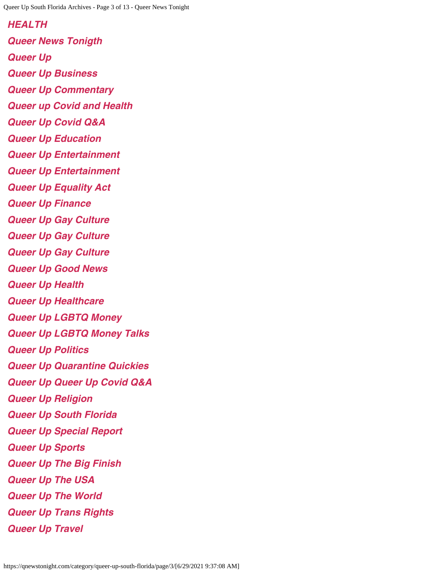*[HEALTH](https://qnewstonight.com/category/queer-news-tonight-queer-covid-and-health/) [Queer News Tonigth](https://qnewstonight.com/category/queer-news-tonigth/) [Queer Up](https://qnewstonight.com/category/queer-up/) [Queer Up Business](https://qnewstonight.com/category/queernewstonight/queer-up-business/) [Queer Up Commentary](https://qnewstonight.com/category/queer-up-commentary/) [Queer up Covid and Health](https://qnewstonight.com/category/queer-up-covid-and-health/) [Queer Up Covid Q&A](https://qnewstonight.com/category/queer-up-covid-qa/) [Queer Up Education](https://qnewstonight.com/category/queer-up-education/) [Queer Up Entertainment](https://qnewstonight.com/category/queer-up-entertainment/) [Queer Up Entertainment](https://qnewstonight.com/category/queer-up-entertainment-2/) [Queer Up Equality Act](https://qnewstonight.com/category/queer-up-equality-act/) [Queer Up Finance](https://qnewstonight.com/category/queer-up-finance/) [Queer Up Gay Culture](https://qnewstonight.com/category/queer-up-gay-culture/) [Queer Up Gay Culture](https://qnewstonight.com/category/queer-up-gay-culture-2/) [Queer Up Gay Culture](https://qnewstonight.com/category/queer-news-tonigth/queer-up-gay-culture-queer-news-tonigth/) [Queer Up Good News](https://qnewstonight.com/category/queer-up-good-news/) [Queer Up Health](https://qnewstonight.com/category/queer-up-health/) [Queer Up Healthcare](https://qnewstonight.com/category/queer-up-healthcare/) [Queer Up LGBTQ Money](https://qnewstonight.com/category/queer-up-lgbtq-money/) [Queer Up LGBTQ Money Talks](https://qnewstonight.com/category/queer-up-lgbtq-money-talks/) [Queer Up Politics](https://qnewstonight.com/category/queer-up-politics/) [Queer Up Quarantine Quickies](https://qnewstonight.com/category/queer-up-quarantine-quickies/) [Queer Up Queer Up Covid Q&A](https://qnewstonight.com/category/queer-up-queer-up-covid-qa/) [Queer Up Religion](https://qnewstonight.com/category/queer-up-religion/) [Queer Up South Florida](https://qnewstonight.com/category/queer-up-south-florida/) [Queer Up Special Report](https://qnewstonight.com/category/queer-up-special-report/) [Queer Up Sports](https://qnewstonight.com/category/queer-up-sports/) [Queer Up The Big Finish](https://qnewstonight.com/category/queer-up-the-big-finish/) [Queer Up The USA](https://qnewstonight.com/category/queer-up-the-usa/) [Queer Up The World](https://qnewstonight.com/category/queer-up-the-world/) [Queer Up Trans Rights](https://qnewstonight.com/category/queer-up-trans-rights/) [Queer Up Travel](https://qnewstonight.com/category/queer-up-travel/)*